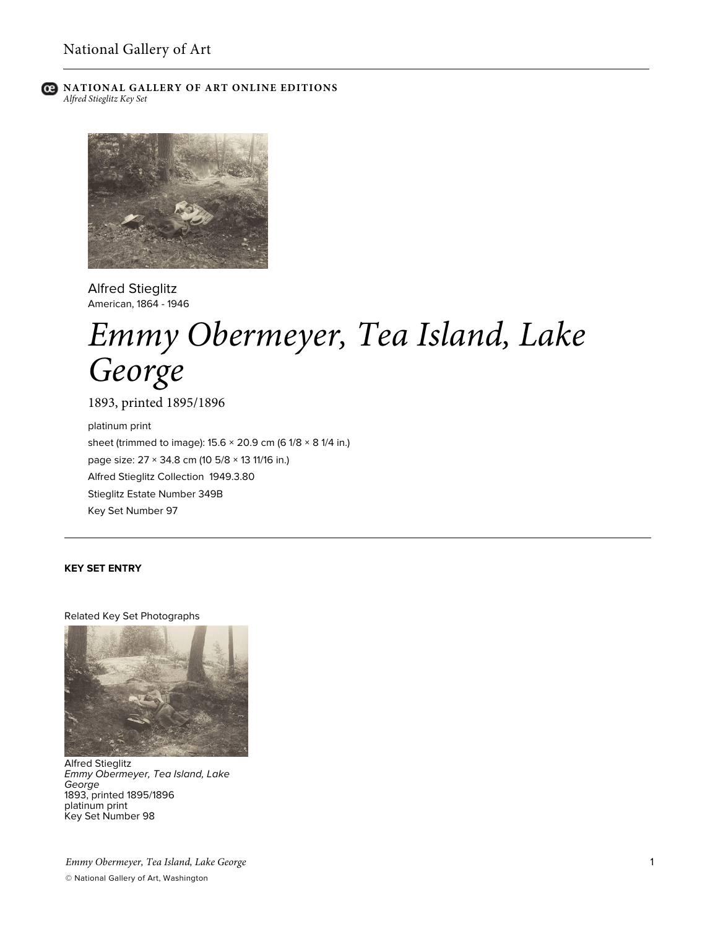

## **C** NATIONAL GALLERY OF ART ONLINE EDITIONS *Alfred Stieglitz Key Set*



Alfred Stieglitz American, 1864 - 1946

# *Emmy Obermeyer, Tea Island, Lake George*

1893, printed 1895/1896

platinum print sheet (trimmed to image):  $15.6 \times 20.9$  cm (6  $1/8 \times 8$   $1/4$  in.) page size: 27 × 34.8 cm (10 5/8 × 13 11/16 in.) Alfred Stieglitz Collection 1949.3.80 Stieglitz Estate Number 349B Key Set Number 97

## **KEY SET ENTRY**

Related Key Set Photographs



Alfred Stieglitz *Emmy Obermeyer, Tea Island, Lake George* 1893, printed 1895/1896 platinum print Key Set Number 98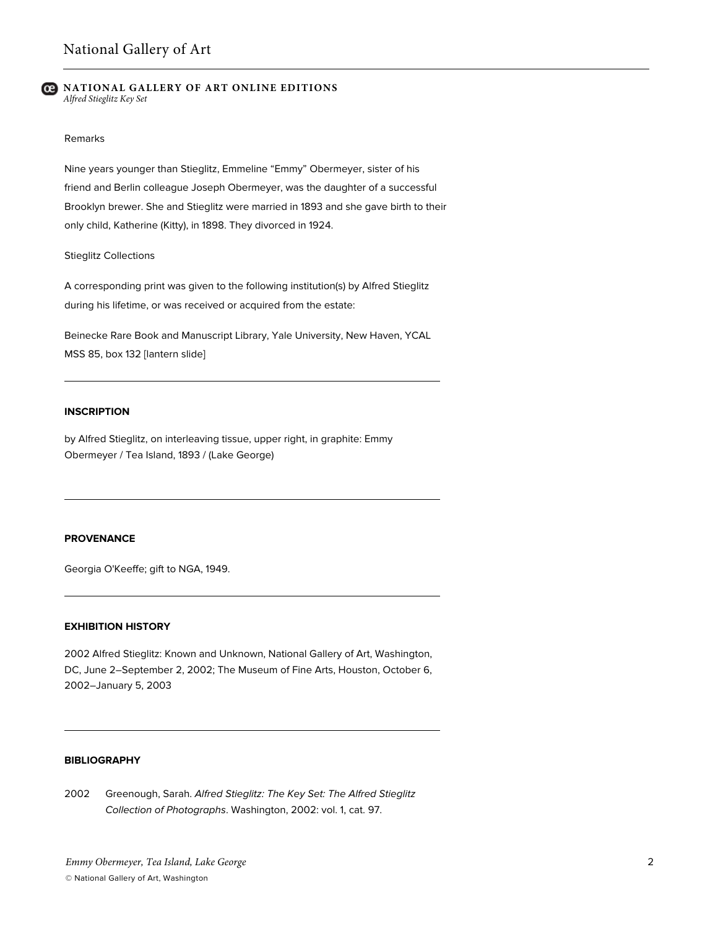#### **NATIONAL GALLERY OF ART ONLINE EDITIONS** *Alfred Stieglitz Key Set*

#### Remarks

Nine years younger than Stieglitz, Emmeline "Emmy" Obermeyer, sister of his friend and Berlin colleague Joseph Obermeyer, was the daughter of a successful Brooklyn brewer. She and Stieglitz were married in 1893 and she gave birth to their only child, Katherine (Kitty), in 1898. They divorced in 1924.

#### Stieglitz Collections

A corresponding print was given to the following institution(s) by Alfred Stieglitz during his lifetime, or was received or acquired from the estate:

Beinecke Rare Book and Manuscript Library, Yale University, New Haven, YCAL MSS 85, box 132 [lantern slide]

### **INSCRIPTION**

by Alfred Stieglitz, on interleaving tissue, upper right, in graphite: Emmy Obermeyer / Tea Island, 1893 / (Lake George)

#### **PROVENANCE**

Georgia O'Keeffe; gift to NGA, 1949.

## **EXHIBITION HISTORY**

2002 Alfred Stieglitz: Known and Unknown, National Gallery of Art, Washington, DC, June 2–September 2, 2002; The Museum of Fine Arts, Houston, October 6, 2002–January 5, 2003

## **BIBLIOGRAPHY**

2002 Greenough, Sarah. *Alfred Stieglitz: The Key Set: The Alfred Stieglitz Collection of Photographs*. Washington, 2002: vol. 1, cat. 97.